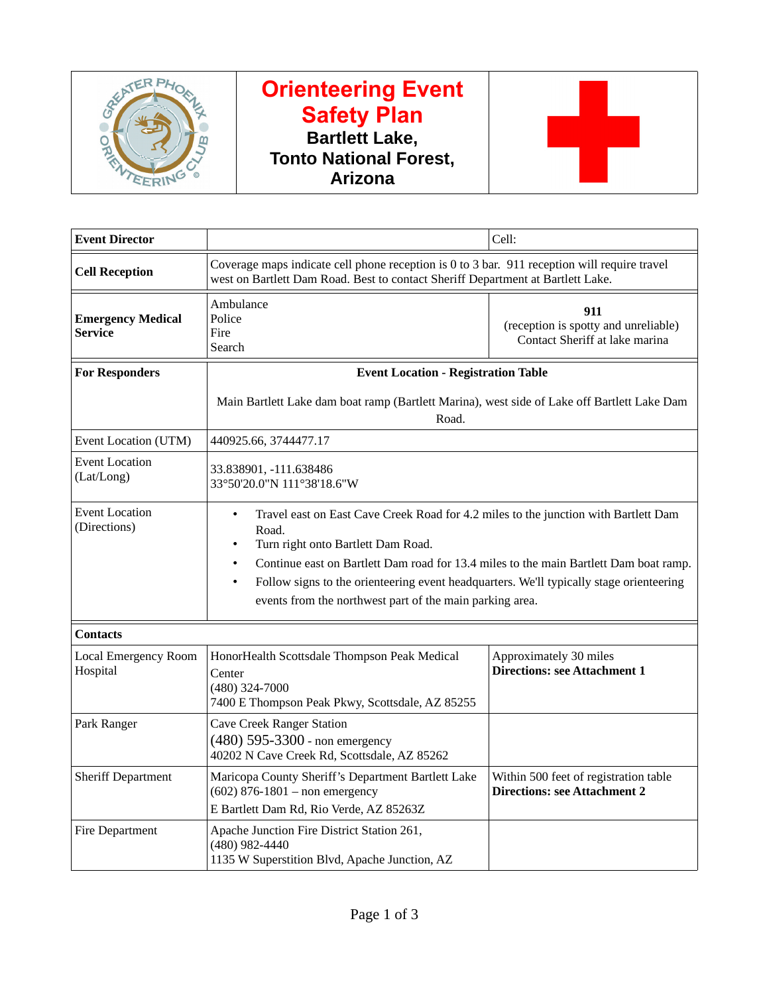

## **Orienteering Event Safety Plan Bartlett Lake, Tonto National Forest, Arizona**



| <b>Event Director</b>                                                                                |                                                                                                                                                                                                                                                                                                                                                                                                              | Cell:                                                                         |  |  |
|------------------------------------------------------------------------------------------------------|--------------------------------------------------------------------------------------------------------------------------------------------------------------------------------------------------------------------------------------------------------------------------------------------------------------------------------------------------------------------------------------------------------------|-------------------------------------------------------------------------------|--|--|
| <b>Cell Reception</b>                                                                                | Coverage maps indicate cell phone reception is 0 to 3 bar. 911 reception will require travel<br>west on Bartlett Dam Road. Best to contact Sheriff Department at Bartlett Lake.                                                                                                                                                                                                                              |                                                                               |  |  |
| <b>Emergency Medical</b><br><b>Service</b>                                                           | Ambulance<br>Police<br>Fire<br>Search                                                                                                                                                                                                                                                                                                                                                                        | 911<br>(reception is spotty and unreliable)<br>Contact Sheriff at lake marina |  |  |
| <b>For Responders</b>                                                                                | <b>Event Location - Registration Table</b>                                                                                                                                                                                                                                                                                                                                                                   |                                                                               |  |  |
| Main Bartlett Lake dam boat ramp (Bartlett Marina), west side of Lake off Bartlett Lake Dam<br>Road. |                                                                                                                                                                                                                                                                                                                                                                                                              |                                                                               |  |  |
| Event Location (UTM)                                                                                 | 440925.66, 3744477.17                                                                                                                                                                                                                                                                                                                                                                                        |                                                                               |  |  |
| <b>Event Location</b><br>(Lat/Long)                                                                  | 33.838901, -111.638486<br>33°50'20.0"N 111°38'18.6"W                                                                                                                                                                                                                                                                                                                                                         |                                                                               |  |  |
| <b>Event Location</b><br>(Directions)                                                                | Travel east on East Cave Creek Road for 4.2 miles to the junction with Bartlett Dam<br>$\bullet$<br>Road.<br>Turn right onto Bartlett Dam Road.<br>$\bullet$<br>Continue east on Bartlett Dam road for 13.4 miles to the main Bartlett Dam boat ramp.<br>Follow signs to the orienteering event headquarters. We'll typically stage orienteering<br>events from the northwest part of the main parking area. |                                                                               |  |  |
| <b>Contacts</b>                                                                                      |                                                                                                                                                                                                                                                                                                                                                                                                              |                                                                               |  |  |
| <b>Local Emergency Room</b><br>Hospital                                                              | HonorHealth Scottsdale Thompson Peak Medical<br>Center<br>(480) 324-7000<br>7400 E Thompson Peak Pkwy, Scottsdale, AZ 85255                                                                                                                                                                                                                                                                                  | Approximately 30 miles<br><b>Directions: see Attachment 1</b>                 |  |  |
| Park Ranger                                                                                          | <b>Cave Creek Ranger Station</b><br>$(480)$ 595-3300 - non emergency<br>40202 N Cave Creek Rd, Scottsdale, AZ 85262                                                                                                                                                                                                                                                                                          |                                                                               |  |  |
| <b>Sheriff Department</b>                                                                            | Maricopa County Sheriff's Department Bartlett Lake<br>$(602)$ 876-1801 - non emergency<br>E Bartlett Dam Rd, Rio Verde, AZ 85263Z                                                                                                                                                                                                                                                                            | Within 500 feet of registration table<br><b>Directions: see Attachment 2</b>  |  |  |
| <b>Fire Department</b>                                                                               | Apache Junction Fire District Station 261,<br>(480) 982-4440<br>1135 W Superstition Blvd, Apache Junction, AZ                                                                                                                                                                                                                                                                                                |                                                                               |  |  |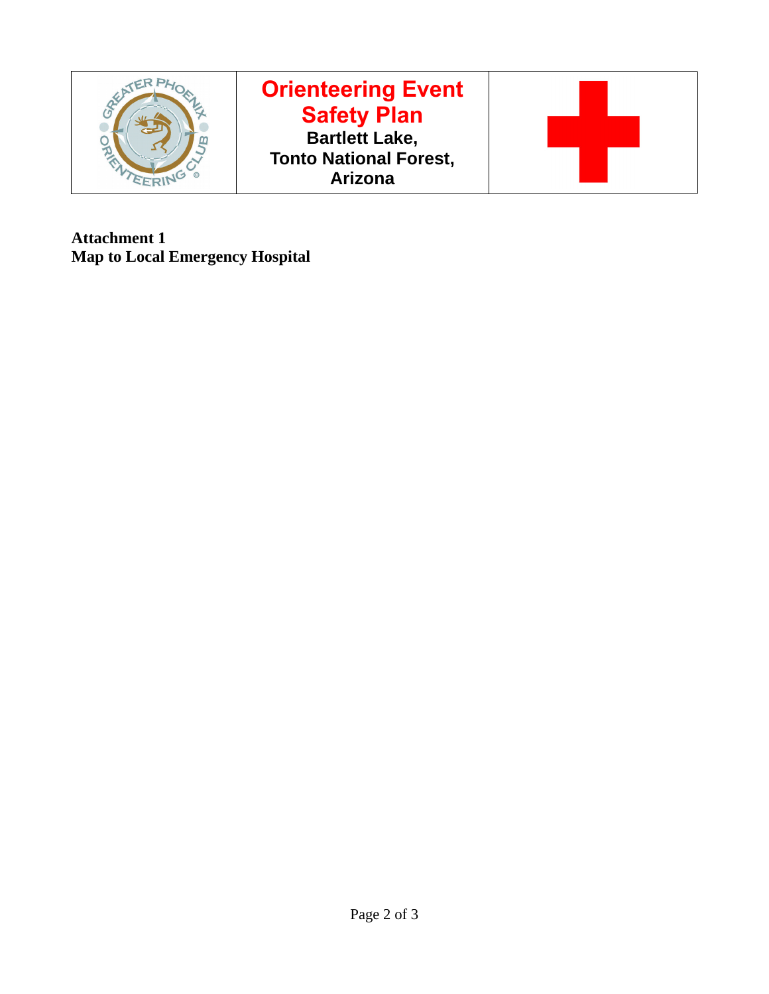

**Attachment 1 Map to Local Emergency Hospital**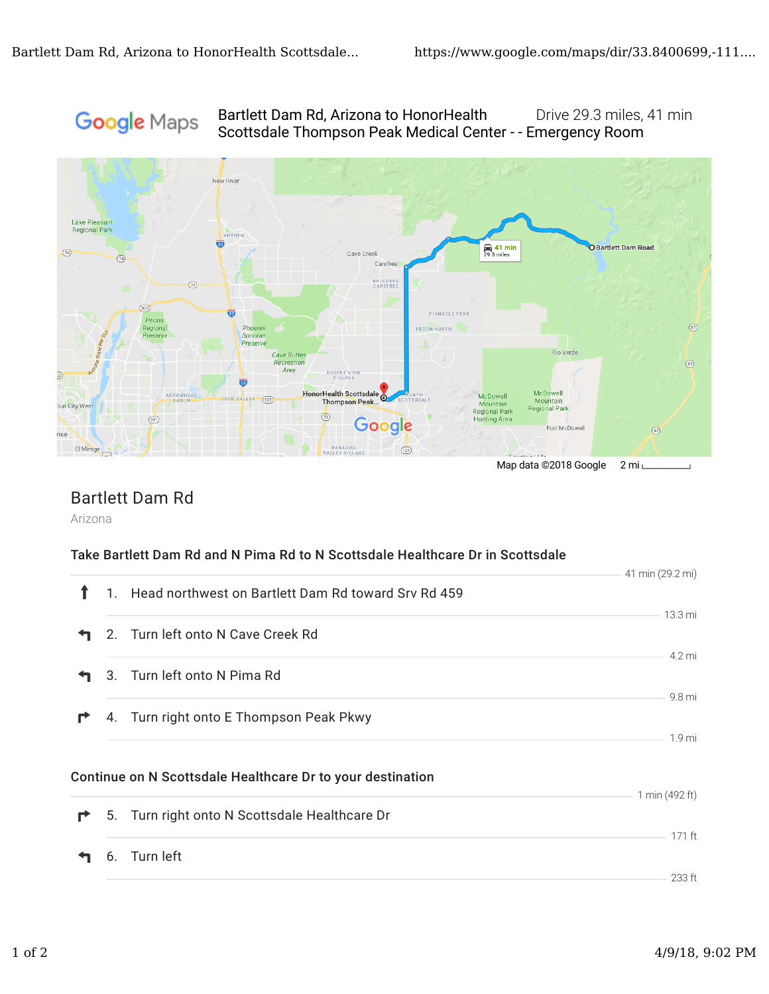# **Google** Maps

### Bartlett Dam Rd, Arizona to HonorHealth Drive 29.3 miles, 41 min Scottsdale Thompson Peak Medical Center - - Emergency Room



### Bartlett Dam Rd

Arizona

#### Take Bartlett Dam Rd and N Pima Rd to N Scottsdale Healthcare Dr in Scottsdale

|   |                                                            | 41 min (29.2 mi) |
|---|------------------------------------------------------------|------------------|
| ↑ | 1. Head northwest on Bartlett Dam Rd toward Srv Rd 459     |                  |
|   |                                                            | 13.3 mi          |
|   | 2. Turn left onto N Cave Creek Rd                          |                  |
|   |                                                            | 4.2 mi           |
|   | 3. Turn left onto N Pima Rd                                |                  |
| r | 4. Turn right onto E Thompson Peak Pkwy                    | 9.8 mi           |
|   |                                                            | 1.9 mi           |
|   | Continue on N Scottsdale Healthcare Dr to your destination |                  |
| r | 5. Turn right onto N Scottsdale Healthcare Dr              | 1 min (492 ft)   |
|   | 6. Turn left                                               | 171 ft           |
|   |                                                            | 233 ft           |
|   |                                                            |                  |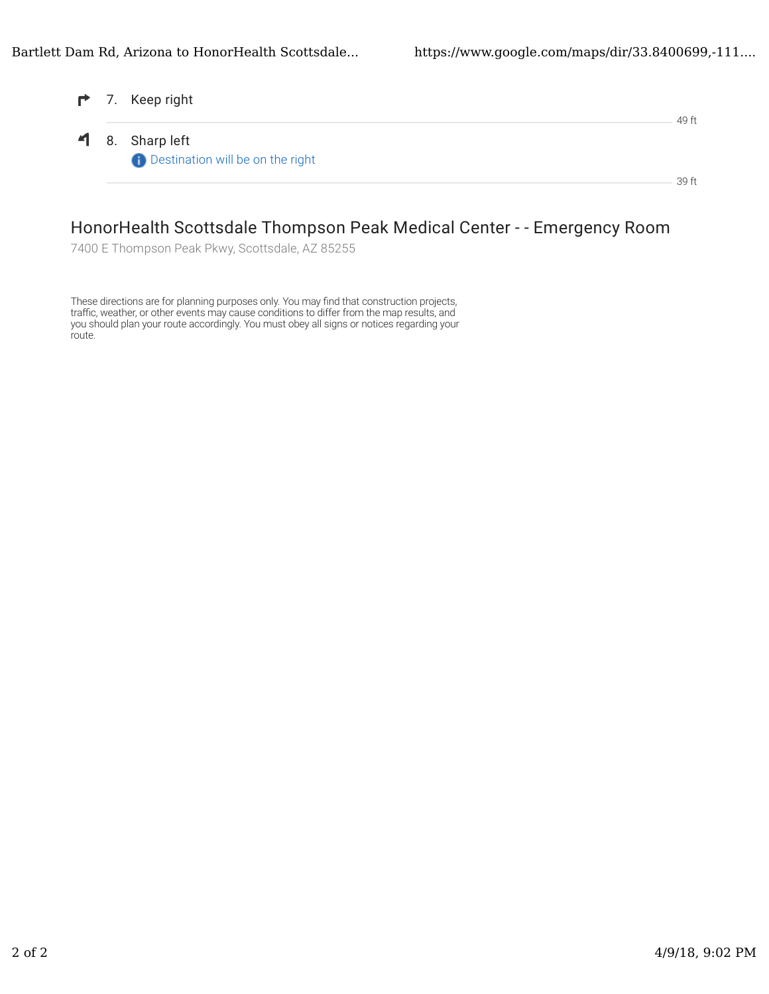|  | 7. Keep right                                              | 49 ft |
|--|------------------------------------------------------------|-------|
|  | 1 8. Sharp left<br><b>Destination will be on the right</b> |       |
|  |                                                            | 39 ft |

### HonorHealth Scottsdale Thompson Peak Medical Center - - Emergency Room

7400 E Thompson Peak Pkwy, Scottsdale, AZ 85255

These directions are for planning purposes only. You may find that construction projects, traffic, weather, or other events may cause conditions to differ from the map results, and you should plan your route accordingly. You must obey all signs or notices regarding your route.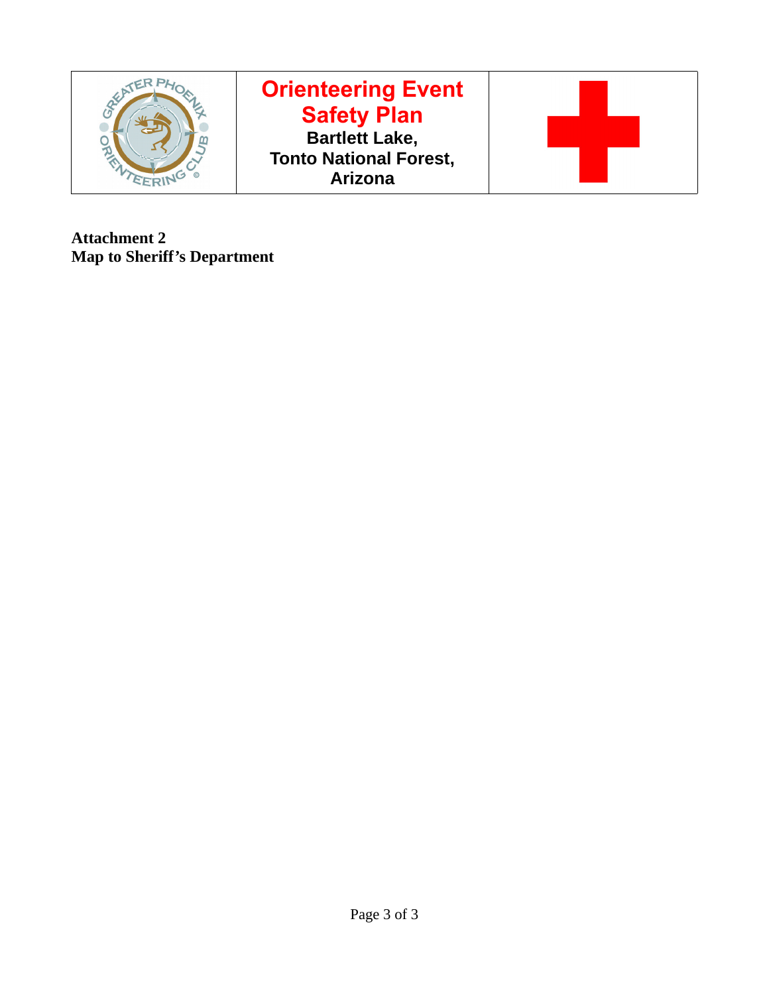

**Attachment 2 Map to Sheriff's Department**